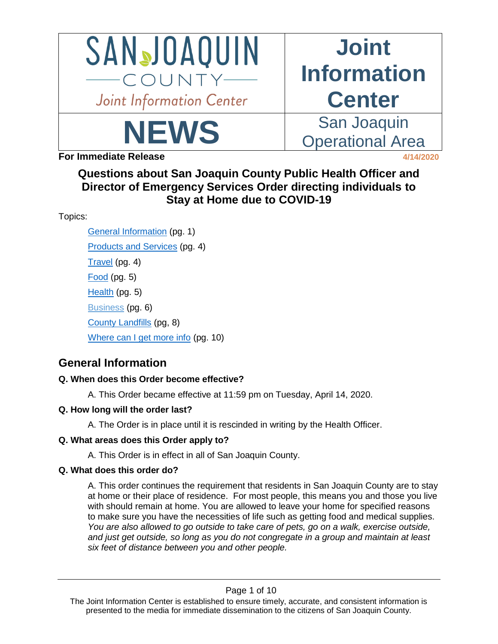

# **Joint Information Center**

Operational Area

NEWS San Joaquin

**For Immediate Release 4/14/2020** 

**Questions about San Joaquin County Public Health Officer and Director of Emergency Services Order directing individuals to Stay at Home due to COVID-19**

Topics:

[General Information](#page-0-0) (pg. 1) [Products and Services](#page-3-0) (pg. 4) [Travel](#page-3-1) (pg. 4) [Food](#page-4-0) (pg. 5) [Health](#page-4-1) (pg. 5) [Business](#page-5-0) (pg. 6) [County Landfills](#page-6-0) (pg, 8) [Where can I get more info](#page-9-0) (pg. 10)

# <span id="page-0-0"></span>**General Information**

# **Q. When does this Order become effective?**

A. This Order became effective at 11:59 pm on Tuesday, April 14, 2020.

# **Q. How long will the order last?**

A. The Order is in place until it is rescinded in writing by the Health Officer.

# **Q. What areas does this Order apply to?**

A. This Order is in effect in all of San Joaquin County.

# **Q. What does this order do?**

A. This order continues the requirement that residents in San Joaquin County are to stay at home or their place of residence. For most people, this means you and those you live with should remain at home. You are allowed to leave your home for specified reasons to make sure you have the necessities of life such as getting food and medical supplies. *You are also allowed to go outside to take care of pets, go on a walk, exercise outside, and just get outside, so long as you do not congregate in a group and maintain at least six feet of distance between you and other people.*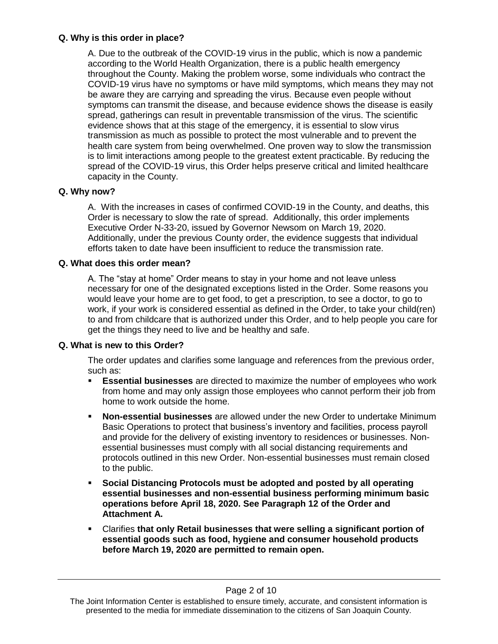# **Q. Why is this order in place?**

A. Due to the outbreak of the COVID-19 virus in the public, which is now a pandemic according to the World Health Organization, there is a public health emergency throughout the County. Making the problem worse, some individuals who contract the COVID-19 virus have no symptoms or have mild symptoms, which means they may not be aware they are carrying and spreading the virus. Because even people without symptoms can transmit the disease, and because evidence shows the disease is easily spread, gatherings can result in preventable transmission of the virus. The scientific evidence shows that at this stage of the emergency, it is essential to slow virus transmission as much as possible to protect the most vulnerable and to prevent the health care system from being overwhelmed. One proven way to slow the transmission is to limit interactions among people to the greatest extent practicable. By reducing the spread of the COVID-19 virus, this Order helps preserve critical and limited healthcare capacity in the County.

# **Q. Why now?**

A. With the increases in cases of confirmed COVID-19 in the County, and deaths, this Order is necessary to slow the rate of spread. Additionally, this order implements Executive Order N-33-20, issued by Governor Newsom on March 19, 2020. Additionally, under the previous County order, the evidence suggests that individual efforts taken to date have been insufficient to reduce the transmission rate.

# **Q. What does this order mean?**

A. The "stay at home" Order means to stay in your home and not leave unless necessary for one of the designated exceptions listed in the Order. Some reasons you would leave your home are to get food, to get a prescription, to see a doctor, to go to work, if your work is considered essential as defined in the Order, to take your child(ren) to and from childcare that is authorized under this Order, and to help people you care for get the things they need to live and be healthy and safe.

# **Q. What is new to this Order?**

The order updates and clarifies some language and references from the previous order, such as:

- **Essential businesses** are directed to maximize the number of employees who work from home and may only assign those employees who cannot perform their job from home to work outside the home.
- **Non-essential businesses** are allowed under the new Order to undertake Minimum Basic Operations to protect that business's inventory and facilities, process payroll and provide for the delivery of existing inventory to residences or businesses. Nonessential businesses must comply with all social distancing requirements and protocols outlined in this new Order. Non-essential businesses must remain closed to the public.
- **Social Distancing Protocols must be adopted and posted by all operating essential businesses and non-essential business performing minimum basic operations before April 18, 2020. See Paragraph 12 of the Order and Attachment A.**
- Clarifies **that only Retail businesses that were selling a significant portion of essential goods such as food, hygiene and consumer household products before March 19, 2020 are permitted to remain open.**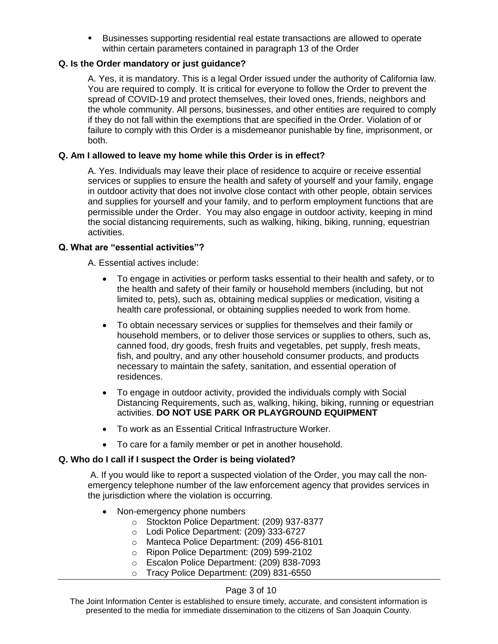Businesses supporting residential real estate transactions are allowed to operate within certain parameters contained in paragraph 13 of the Order

# **Q. Is the Order mandatory or just guidance?**

A. Yes, it is mandatory. This is a legal Order issued under the authority of California law. You are required to comply. It is critical for everyone to follow the Order to prevent the spread of COVID-19 and protect themselves, their loved ones, friends, neighbors and the whole community. All persons, businesses, and other entities are required to comply if they do not fall within the exemptions that are specified in the Order. Violation of or failure to comply with this Order is a misdemeanor punishable by fine, imprisonment, or both.

#### **Q. Am I allowed to leave my home while this Order is in effect?**

A. Yes. Individuals may leave their place of residence to acquire or receive essential services or supplies to ensure the health and safety of yourself and your family, engage in outdoor activity that does not involve close contact with other people, obtain services and supplies for yourself and your family, and to perform employment functions that are permissible under the Order. You may also engage in outdoor activity, keeping in mind the social distancing requirements, such as walking, hiking, biking, running, equestrian activities.

#### **Q. What are "essential activities"?**

A. Essential actives include:

- To engage in activities or perform tasks essential to their health and safety, or to the health and safety of their family or household members (including, but not limited to, pets), such as, obtaining medical supplies or medication, visiting a health care professional, or obtaining supplies needed to work from home.
- To obtain necessary services or supplies for themselves and their family or household members, or to deliver those services or supplies to others, such as, canned food, dry goods, fresh fruits and vegetables, pet supply, fresh meats, fish, and poultry, and any other household consumer products, and products necessary to maintain the safety, sanitation, and essential operation of residences.
- To engage in outdoor activity, provided the individuals comply with Social Distancing Requirements, such as, walking, hiking, biking, running or equestrian activities. **DO NOT USE PARK OR PLAYGROUND EQUIPMENT**
- To work as an Essential Critical Infrastructure Worker.
- To care for a family member or pet in another household.

# **Q. Who do I call if I suspect the Order is being violated?**

A. If you would like to report a suspected violation of the Order, you may call the nonemergency telephone number of the law enforcement agency that provides services in the jurisdiction where the violation is occurring.

- Non-emergency phone numbers
	- o Stockton Police Department: (209) 937-8377
	- o Lodi Police Department: (209) 333-6727
	- o Manteca Police Department: (209) 456-8101
	- o Ripon Police Department: (209) 599-2102
	- o Escalon Police Department: (209) 838-7093
	- o Tracy Police Department: (209) 831-6550

#### Page 3 of 10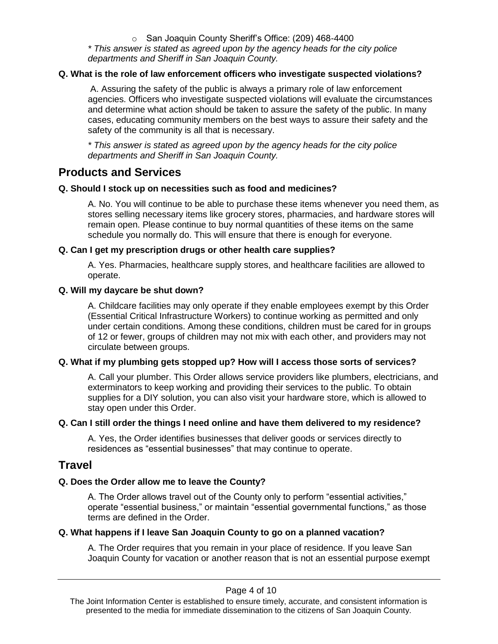o San Joaquin County Sheriff's Office: (209) 468-4400 *\* This answer is stated as agreed upon by the agency heads for the city police departments and Sheriff in San Joaquin County.*

## **Q. What is the role of law enforcement officers who investigate suspected violations?**

A. Assuring the safety of the public is always a primary role of law enforcement agencies. Officers who investigate suspected violations will evaluate the circumstances and determine what action should be taken to assure the safety of the public. In many cases, educating community members on the best ways to assure their safety and the safety of the community is all that is necessary.

*\* This answer is stated as agreed upon by the agency heads for the city police departments and Sheriff in San Joaquin County.*

# <span id="page-3-0"></span>**Products and Services**

#### **Q. Should I stock up on necessities such as food and medicines?**

A. No. You will continue to be able to purchase these items whenever you need them, as stores selling necessary items like grocery stores, pharmacies, and hardware stores will remain open. Please continue to buy normal quantities of these items on the same schedule you normally do. This will ensure that there is enough for everyone.

#### **Q. Can I get my prescription drugs or other health care supplies?**

A. Yes. Pharmacies, healthcare supply stores, and healthcare facilities are allowed to operate.

#### **Q. Will my daycare be shut down?**

A. Childcare facilities may only operate if they enable employees exempt by this Order (Essential Critical Infrastructure Workers) to continue working as permitted and only under certain conditions. Among these conditions, children must be cared for in groups of 12 or fewer, groups of children may not mix with each other, and providers may not circulate between groups.

# **Q. What if my plumbing gets stopped up? How will I access those sorts of services?**

A. Call your plumber. This Order allows service providers like plumbers, electricians, and exterminators to keep working and providing their services to the public. To obtain supplies for a DIY solution, you can also visit your hardware store, which is allowed to stay open under this Order.

#### **Q. Can I still order the things I need online and have them delivered to my residence?**

A. Yes, the Order identifies businesses that deliver goods or services directly to residences as "essential businesses" that may continue to operate.

# <span id="page-3-1"></span>**Travel**

#### **Q. Does the Order allow me to leave the County?**

A. The Order allows travel out of the County only to perform "essential activities," operate "essential business," or maintain "essential governmental functions," as those terms are defined in the Order.

#### **Q. What happens if I leave San Joaquin County to go on a planned vacation?**

A. The Order requires that you remain in your place of residence. If you leave San Joaquin County for vacation or another reason that is not an essential purpose exempt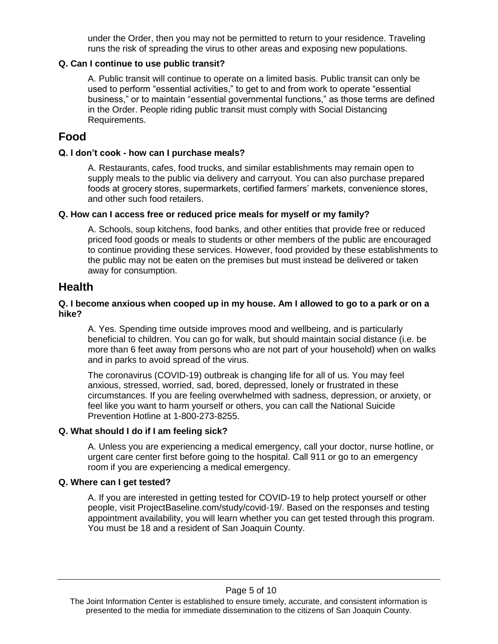under the Order, then you may not be permitted to return to your residence. Traveling runs the risk of spreading the virus to other areas and exposing new populations.

## **Q. Can I continue to use public transit?**

A. Public transit will continue to operate on a limited basis. Public transit can only be used to perform "essential activities," to get to and from work to operate "essential business," or to maintain "essential governmental functions," as those terms are defined in the Order. People riding public transit must comply with Social Distancing Requirements.

# <span id="page-4-0"></span>**Food**

## **Q. I don't cook - how can I purchase meals?**

A. Restaurants, cafes, food trucks, and similar establishments may remain open to supply meals to the public via delivery and carryout. You can also purchase prepared foods at grocery stores, supermarkets, certified farmers' markets, convenience stores, and other such food retailers.

#### **Q. How can I access free or reduced price meals for myself or my family?**

A. Schools, soup kitchens, food banks, and other entities that provide free or reduced priced food goods or meals to students or other members of the public are encouraged to continue providing these services. However, food provided by these establishments to the public may not be eaten on the premises but must instead be delivered or taken away for consumption.

# <span id="page-4-1"></span>**Health**

#### **Q. I become anxious when cooped up in my house. Am I allowed to go to a park or on a hike?**

A. Yes. Spending time outside improves mood and wellbeing, and is particularly beneficial to children. You can go for walk, but should maintain social distance (i.e. be more than 6 feet away from persons who are not part of your household) when on walks and in parks to avoid spread of the virus.

The coronavirus (COVID-19) outbreak is changing life for all of us. You may feel anxious, stressed, worried, sad, bored, depressed, lonely or frustrated in these circumstances. If you are feeling overwhelmed with sadness, depression, or anxiety, or feel like you want to harm yourself or others, you can call the National Suicide Prevention Hotline at 1-800-273-8255.

# **Q. What should I do if I am feeling sick?**

A. Unless you are experiencing a medical emergency, call your doctor, nurse hotline, or urgent care center first before going to the hospital. Call 911 or go to an emergency room if you are experiencing a medical emergency.

#### **Q. Where can I get tested?**

A. If you are interested in getting tested for COVID-19 to help protect yourself or other people, visit ProjectBaseline.com/study/covid-19/. Based on the responses and testing appointment availability, you will learn whether you can get tested through this program. You must be 18 and a resident of San Joaquin County.

The Joint Information Center is established to ensure timely, accurate, and consistent information is presented to the media for immediate dissemination to the citizens of San Joaquin County.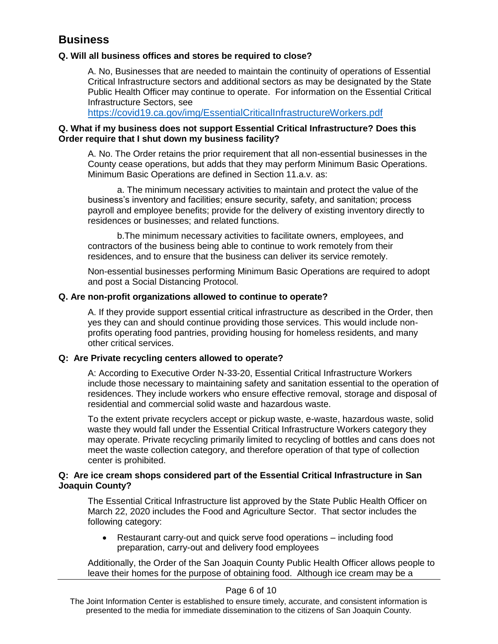# <span id="page-5-0"></span>**Business**

# **Q. Will all business offices and stores be required to close?**

A. No, Businesses that are needed to maintain the continuity of operations of Essential Critical Infrastructure sectors and additional sectors as may be designated by the State Public Health Officer may continue to operate. For information on the Essential Critical Infrastructure Sectors, see

<https://covid19.ca.gov/img/EssentialCriticalInfrastructureWorkers.pdf>

# **Q. What if my business does not support Essential Critical Infrastructure? Does this Order require that I shut down my business facility?**

A. No. The Order retains the prior requirement that all non-essential businesses in the County cease operations, but adds that they may perform Minimum Basic Operations. Minimum Basic Operations are defined in Section 11.a.v. as:

a. The minimum necessary activities to maintain and protect the value of the business's inventory and facilities; ensure security, safety, and sanitation; process payroll and employee benefits; provide for the delivery of existing inventory directly to residences or businesses; and related functions.

b.The minimum necessary activities to facilitate owners, employees, and contractors of the business being able to continue to work remotely from their residences, and to ensure that the business can deliver its service remotely.

Non-essential businesses performing Minimum Basic Operations are required to adopt and post a Social Distancing Protocol.

# **Q. Are non-profit organizations allowed to continue to operate?**

A. If they provide support essential critical infrastructure as described in the Order, then yes they can and should continue providing those services. This would include nonprofits operating food pantries, providing housing for homeless residents, and many other critical services.

# **Q: Are Private recycling centers allowed to operate?**

A: According to Executive Order N-33-20, Essential Critical Infrastructure Workers include those necessary to maintaining safety and sanitation essential to the operation of residences. They include workers who ensure effective removal, storage and disposal of residential and commercial solid waste and hazardous waste.

To the extent private recyclers accept or pickup waste, e-waste, hazardous waste, solid waste they would fall under the Essential Critical Infrastructure Workers category they may operate. Private recycling primarily limited to recycling of bottles and cans does not meet the waste collection category, and therefore operation of that type of collection center is prohibited.

# **Q: Are ice cream shops considered part of the Essential Critical Infrastructure in San Joaquin County?**

The Essential Critical Infrastructure list approved by the State Public Health Officer on March 22, 2020 includes the Food and Agriculture Sector. That sector includes the following category:

 Restaurant carry-out and quick serve food operations – including food preparation, carry-out and delivery food employees

Additionally, the Order of the San Joaquin County Public Health Officer allows people to leave their homes for the purpose of obtaining food. Although ice cream may be a

# Page 6 of 10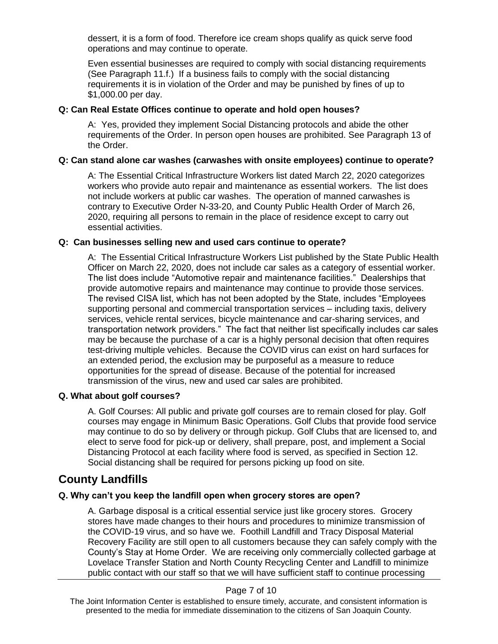dessert, it is a form of food. Therefore ice cream shops qualify as quick serve food operations and may continue to operate.

Even essential businesses are required to comply with social distancing requirements (See Paragraph 11.f.) If a business fails to comply with the social distancing requirements it is in violation of the Order and may be punished by fines of up to \$1,000.00 per day.

## **Q: Can Real Estate Offices continue to operate and hold open houses?**

A: Yes, provided they implement Social Distancing protocols and abide the other requirements of the Order. In person open houses are prohibited. See Paragraph 13 of the Order.

#### **Q: Can stand alone car washes (carwashes with onsite employees) continue to operate?**

A: The Essential Critical Infrastructure Workers list dated March 22, 2020 categorizes workers who provide auto repair and maintenance as essential workers. The list does not include workers at public car washes. The operation of manned carwashes is contrary to Executive Order N-33-20, and County Public Health Order of March 26, 2020, requiring all persons to remain in the place of residence except to carry out essential activities.

#### **Q: Can businesses selling new and used cars continue to operate?**

A: The Essential Critical Infrastructure Workers List published by the State Public Health Officer on March 22, 2020, does not include car sales as a category of essential worker. The list does include "Automotive repair and maintenance facilities." Dealerships that provide automotive repairs and maintenance may continue to provide those services. The revised CISA list, which has not been adopted by the State, includes "Employees supporting personal and commercial transportation services – including taxis, delivery services, vehicle rental services, bicycle maintenance and car-sharing services, and transportation network providers." The fact that neither list specifically includes car sales may be because the purchase of a car is a highly personal decision that often requires test-driving multiple vehicles. Because the COVID virus can exist on hard surfaces for an extended period, the exclusion may be purposeful as a measure to reduce opportunities for the spread of disease. Because of the potential for increased transmission of the virus, new and used car sales are prohibited.

#### **Q. What about golf courses?**

A. Golf Courses: All public and private golf courses are to remain closed for play. Golf courses may engage in Minimum Basic Operations. Golf Clubs that provide food service may continue to do so by delivery or through pickup. Golf Clubs that are licensed to, and elect to serve food for pick-up or delivery, shall prepare, post, and implement a Social Distancing Protocol at each facility where food is served, as specified in Section 12. Social distancing shall be required for persons picking up food on site.

# <span id="page-6-0"></span>**County Landfills**

# **Q. Why can't you keep the landfill open when grocery stores are open?**

A. Garbage disposal is a critical essential service just like grocery stores. Grocery stores have made changes to their hours and procedures to minimize transmission of the COVID-19 virus, and so have we. Foothill Landfill and Tracy Disposal Material Recovery Facility are still open to all customers because they can safely comply with the County's Stay at Home Order. We are receiving only commercially collected garbage at Lovelace Transfer Station and North County Recycling Center and Landfill to minimize public contact with our staff so that we will have sufficient staff to continue processing

#### Page 7 of 10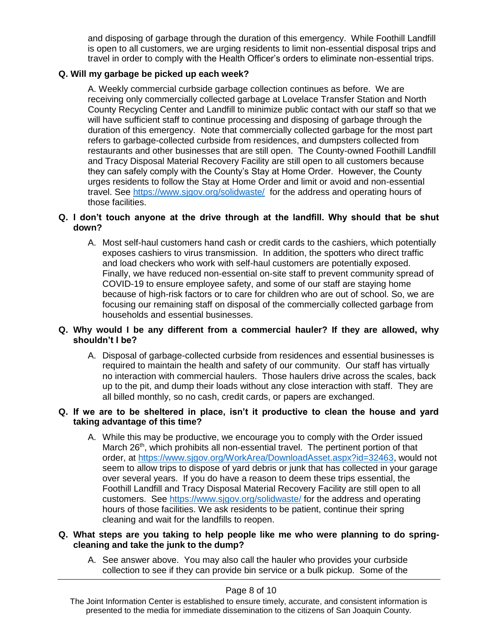and disposing of garbage through the duration of this emergency. While Foothill Landfill is open to all customers, we are urging residents to limit non-essential disposal trips and travel in order to comply with the Health Officer's orders to eliminate non-essential trips.

# **Q. Will my garbage be picked up each week?**

A. Weekly commercial curbside garbage collection continues as before. We are receiving only commercially collected garbage at Lovelace Transfer Station and North County Recycling Center and Landfill to minimize public contact with our staff so that we will have sufficient staff to continue processing and disposing of garbage through the duration of this emergency. Note that commercially collected garbage for the most part refers to garbage-collected curbside from residences, and dumpsters collected from restaurants and other businesses that are still open. The County-owned Foothill Landfill and Tracy Disposal Material Recovery Facility are still open to all customers because they can safely comply with the County's Stay at Home Order. However, the County urges residents to follow the Stay at Home Order and limit or avoid and non-essential travel. See<https://www.sjgov.org/solidwaste/>for the address and operating hours of those facilities.

# **Q. I don't touch anyone at the drive through at the landfill. Why should that be shut down?**

A. Most self-haul customers hand cash or credit cards to the cashiers, which potentially exposes cashiers to virus transmission. In addition, the spotters who direct traffic and load checkers who work with self-haul customers are potentially exposed. Finally, we have reduced non-essential on-site staff to prevent community spread of COVID-19 to ensure employee safety, and some of our staff are staying home because of high-risk factors or to care for children who are out of school. So, we are focusing our remaining staff on disposal of the commercially collected garbage from households and essential businesses.

# **Q. Why would I be any different from a commercial hauler? If they are allowed, why shouldn't I be?**

A. Disposal of garbage-collected curbside from residences and essential businesses is required to maintain the health and safety of our community. Our staff has virtually no interaction with commercial haulers. Those haulers drive across the scales, back up to the pit, and dump their loads without any close interaction with staff. They are all billed monthly, so no cash, credit cards, or papers are exchanged.

#### **Q. If we are to be sheltered in place, isn't it productive to clean the house and yard taking advantage of this time?**

A. While this may be productive, we encourage you to comply with the Order issued March 26<sup>th</sup>, which prohibits all non-essential travel. The pertinent portion of that order, at [https://www.sjgov.org/WorkArea/DownloadAsset.aspx?id=32463,](https://www.sjgov.org/WorkArea/DownloadAsset.aspx?id=32463) would not seem to allow trips to dispose of yard debris or junk that has collected in your garage over several years. If you do have a reason to deem these trips essential, the Foothill Landfill and Tracy Disposal Material Recovery Facility are still open to all customers. See<https://www.sjgov.org/solidwaste/> for the address and operating hours of those facilities. We ask residents to be patient, continue their spring cleaning and wait for the landfills to reopen.

#### **Q. What steps are you taking to help people like me who were planning to do springcleaning and take the junk to the dump?**

A. See answer above. You may also call the hauler who provides your curbside collection to see if they can provide bin service or a bulk pickup. Some of the

#### Page 8 of 10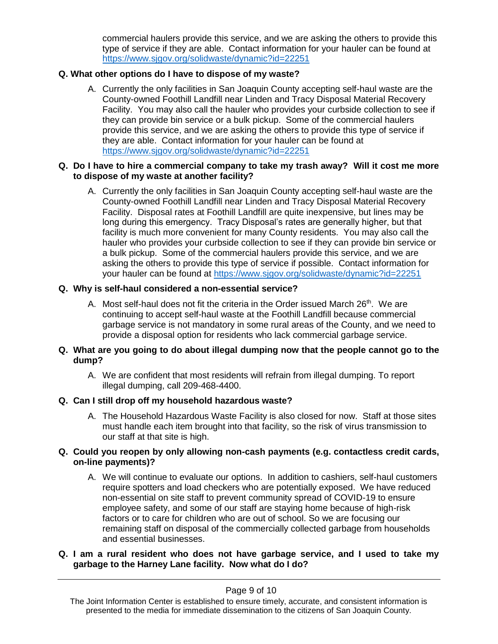commercial haulers provide this service, and we are asking the others to provide this type of service if they are able. Contact information for your hauler can be found at <https://www.sjgov.org/solidwaste/dynamic?id=22251>

# **Q. What other options do I have to dispose of my waste?**

A. Currently the only facilities in San Joaquin County accepting self-haul waste are the County-owned Foothill Landfill near Linden and Tracy Disposal Material Recovery Facility. You may also call the hauler who provides your curbside collection to see if they can provide bin service or a bulk pickup. Some of the commercial haulers provide this service, and we are asking the others to provide this type of service if they are able. Contact information for your hauler can be found at <https://www.sjgov.org/solidwaste/dynamic?id=22251>

## **Q. Do I have to hire a commercial company to take my trash away? Will it cost me more to dispose of my waste at another facility?**

A. Currently the only facilities in San Joaquin County accepting self-haul waste are the County-owned Foothill Landfill near Linden and Tracy Disposal Material Recovery Facility. Disposal rates at Foothill Landfill are quite inexpensive, but lines may be long during this emergency. Tracy Disposal's rates are generally higher, but that facility is much more convenient for many County residents. You may also call the hauler who provides your curbside collection to see if they can provide bin service or a bulk pickup. Some of the commercial haulers provide this service, and we are asking the others to provide this type of service if possible. Contact information for your hauler can be found at<https://www.sjgov.org/solidwaste/dynamic?id=22251>

#### **Q. Why is self-haul considered a non-essential service?**

A. Most self-haul does not fit the criteria in the Order issued March 26<sup>th</sup>. We are continuing to accept self-haul waste at the Foothill Landfill because commercial garbage service is not mandatory in some rural areas of the County, and we need to provide a disposal option for residents who lack commercial garbage service.

#### **Q. What are you going to do about illegal dumping now that the people cannot go to the dump?**

A. We are confident that most residents will refrain from illegal dumping. To report illegal dumping, call 209-468-4400.

# **Q. Can I still drop off my household hazardous waste?**

A. The Household Hazardous Waste Facility is also closed for now. Staff at those sites must handle each item brought into that facility, so the risk of virus transmission to our staff at that site is high.

# **Q. Could you reopen by only allowing non-cash payments (e.g. contactless credit cards, on-line payments)?**

A. We will continue to evaluate our options. In addition to cashiers, self-haul customers require spotters and load checkers who are potentially exposed. We have reduced non-essential on site staff to prevent community spread of COVID-19 to ensure employee safety, and some of our staff are staying home because of high-risk factors or to care for children who are out of school. So we are focusing our remaining staff on disposal of the commercially collected garbage from households and essential businesses.

#### **Q. I am a rural resident who does not have garbage service, and I used to take my garbage to the Harney Lane facility. Now what do I do?**

The Joint Information Center is established to ensure timely, accurate, and consistent information is presented to the media for immediate dissemination to the citizens of San Joaquin County.